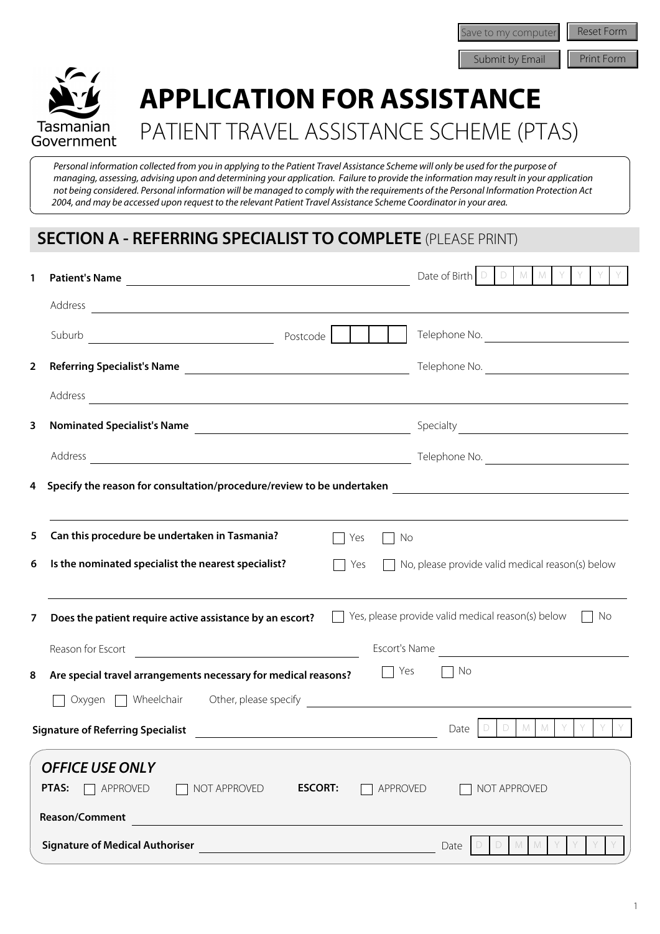Reset Form Save to my computer<br>
Submit by Email Print Form



# **APPLICATION FOR ASSISTANCE**  PATIENT TRAVEL ASSISTANCE SCHEME (PTAS)

 *Personal information collected from you in applying to the Patient Travel Assistance Scheme will only be used for the purpose of managing, assessing, advising upon and determining your application. Failure to provide the information may result in your application not being considered. Personal information will be managed to comply with the requirements of the Personal Information Protection Act 2004, and may be accessed upon request to the relevant Patient Travel Assistance Scheme Coordinator in your area.*

## **SECTION A - REFERRING SPECIALIST TO COMPLETE** (PLEASE PRINT)

| 1              | Patient's Name                                                                                                                                                                                                                 | Date of Birth $\Box$<br>D<br>M<br>M                     |
|----------------|--------------------------------------------------------------------------------------------------------------------------------------------------------------------------------------------------------------------------------|---------------------------------------------------------|
|                |                                                                                                                                                                                                                                |                                                         |
|                | Suburb<br>Postcode<br><u> 1980 - Johann Barbara, martxa amerikan personal (</u>                                                                                                                                                | Telephone No.                                           |
| $\overline{2}$ |                                                                                                                                                                                                                                | Telephone No.                                           |
|                | Address experiences and the contract of the contract of the contract of the contract of the contract of the contract of the contract of the contract of the contract of the contract of the contract of the contract of the co |                                                         |
| 3              |                                                                                                                                                                                                                                | $\vert \mathbf{v} \vert$                                |
|                |                                                                                                                                                                                                                                | Telephone No.                                           |
| 4              |                                                                                                                                                                                                                                |                                                         |
|                | the control of the control of the control of the control of the control of the control of the control of the control of the control of the control of the control of the control of the control of the control of the control  |                                                         |
| 5              | Can this procedure be undertaken in Tasmania?<br>  Yes<br>No                                                                                                                                                                   |                                                         |
| 6              | Is the nominated specialist the nearest specialist?<br>  Yes                                                                                                                                                                   | $\Box$ No, please provide valid medical reason(s) below |
| 7              | Does the patient require active assistance by an escort?                                                                                                                                                                       | Yes, please provide valid medical reason(s) below<br>No |
|                | Escort's Name<br>Reason for Escort<br><u> 1989 - Johann Harry Harry Harry Harry Harry Harry Harry Harry Harry Harry Harry Harry Harry Harry Harry Harry</u>                                                                    | <u> 1980 - Jan Barbara Barat, prima politik (</u>       |
| 8              | Yes<br>Are special travel arrangements necessary for medical reasons?                                                                                                                                                          | ∣ No                                                    |
|                |                                                                                                                                                                                                                                |                                                         |
|                | <b>Signature of Referring Specialist</b>                                                                                                                                                                                       | $M$ $M$<br>D<br>Date                                    |
|                | <b>OFFICE USE ONLY</b>                                                                                                                                                                                                         |                                                         |
|                | PTAS:<br>APPROVED<br><b>ESCORT:</b><br>NOT APPROVED<br>APPROVED                                                                                                                                                                | NOT APPROVED                                            |
|                | Reason/Comment                                                                                                                                                                                                                 |                                                         |
|                | <b>Signature of Medical Authoriser</b>                                                                                                                                                                                         | Date<br>M                                               |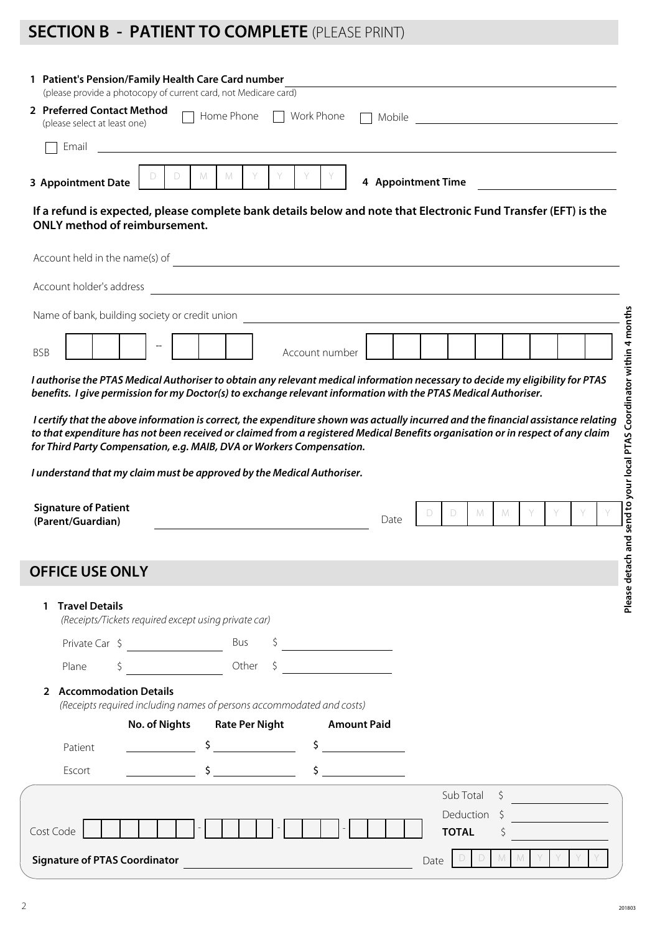## **SECTION B - PATIENT TO COMPLETE** (PLEASE PRINT)

| 2 Preferred Contact Method<br>(please select at least one)                                                                                                                                                                                                                                                                                                                    |                      |   |   | Home Phone            | Work Phone |                                                                                                                                    | Mobile |                           |   |    | <u> 1980 - Johann Barn, mars ann an t-Amhain Aonaich an t-Aonaich an t-Aonaich ann an t-Aonaich ann an t-Aonaich</u> |  |
|-------------------------------------------------------------------------------------------------------------------------------------------------------------------------------------------------------------------------------------------------------------------------------------------------------------------------------------------------------------------------------|----------------------|---|---|-----------------------|------------|------------------------------------------------------------------------------------------------------------------------------------|--------|---------------------------|---|----|----------------------------------------------------------------------------------------------------------------------|--|
| Email                                                                                                                                                                                                                                                                                                                                                                         |                      |   |   |                       |            |                                                                                                                                    |        |                           |   |    |                                                                                                                      |  |
| <b>3 Appointment Date</b>                                                                                                                                                                                                                                                                                                                                                     |                      | D | M | M                     |            |                                                                                                                                    |        | 4 Appointment Time        |   |    |                                                                                                                      |  |
| If a refund is expected, please complete bank details below and note that Electronic Fund Transfer (EFT) is the<br><b>ONLY method of reimbursement.</b>                                                                                                                                                                                                                       |                      |   |   |                       |            |                                                                                                                                    |        |                           |   |    |                                                                                                                      |  |
|                                                                                                                                                                                                                                                                                                                                                                               |                      |   |   |                       |            |                                                                                                                                    |        |                           |   |    |                                                                                                                      |  |
| Account holder's address                                                                                                                                                                                                                                                                                                                                                      |                      |   |   |                       |            |                                                                                                                                    |        |                           |   |    |                                                                                                                      |  |
| Name of bank, building society or credit union                                                                                                                                                                                                                                                                                                                                |                      |   |   |                       |            |                                                                                                                                    |        |                           |   |    |                                                                                                                      |  |
|                                                                                                                                                                                                                                                                                                                                                                               |                      |   |   |                       |            |                                                                                                                                    |        |                           |   |    |                                                                                                                      |  |
| <b>BSB</b>                                                                                                                                                                                                                                                                                                                                                                    |                      |   |   |                       |            | Account number                                                                                                                     |        |                           |   |    |                                                                                                                      |  |
|                                                                                                                                                                                                                                                                                                                                                                               |                      |   |   |                       |            | I certify that the above information is correct, the expenditure shown was actually incurred and the financial assistance relating |        |                           |   |    |                                                                                                                      |  |
|                                                                                                                                                                                                                                                                                                                                                                               |                      |   |   |                       |            |                                                                                                                                    | Date   | D                         | M | M  |                                                                                                                      |  |
|                                                                                                                                                                                                                                                                                                                                                                               |                      |   |   |                       |            |                                                                                                                                    |        |                           |   |    |                                                                                                                      |  |
| <b>Travel Details</b><br>1.<br>(Receipts/Tickets required except using private car)                                                                                                                                                                                                                                                                                           |                      |   |   |                       |            |                                                                                                                                    |        |                           |   |    |                                                                                                                      |  |
| Private Car $\frac{1}{2}$                                                                                                                                                                                                                                                                                                                                                     |                      |   |   | Bus                   |            |                                                                                                                                    |        |                           |   |    |                                                                                                                      |  |
| Plane<br>\$                                                                                                                                                                                                                                                                                                                                                                   |                      |   |   | Other                 | \$         |                                                                                                                                    |        |                           |   |    |                                                                                                                      |  |
| 2 Accommodation Details<br>(Receipts required including names of persons accommodated and costs)                                                                                                                                                                                                                                                                              |                      |   |   |                       |            |                                                                                                                                    |        |                           |   |    |                                                                                                                      |  |
|                                                                                                                                                                                                                                                                                                                                                                               | <b>No. of Nights</b> |   |   | <b>Rate Per Night</b> |            | <b>Amount Paid</b>                                                                                                                 |        |                           |   |    |                                                                                                                      |  |
| Patient                                                                                                                                                                                                                                                                                                                                                                       |                      |   |   | $\frac{1}{2}$         |            | $\sim$ $\sim$                                                                                                                      |        |                           |   |    |                                                                                                                      |  |
| Escort                                                                                                                                                                                                                                                                                                                                                                        |                      |   |   | $\sim$                |            | $\mathsf{\$}$                                                                                                                      |        |                           |   |    |                                                                                                                      |  |
|                                                                                                                                                                                                                                                                                                                                                                               |                      |   |   |                       |            |                                                                                                                                    |        | Sub Total<br>Deduction \$ |   | Ŝ. |                                                                                                                      |  |
| to that expenditure has not been received or claimed from a registered Medical Benefits organisation or in respect of any claim<br>for Third Party Compensation, e.g. MAIB, DVA or Workers Compensation.<br>I understand that my claim must be approved by the Medical Authoriser.<br><b>Signature of Patient</b><br>(Parent/Guardian)<br><b>OFFICE USE ONLY</b><br>Cost Code |                      |   |   |                       |            |                                                                                                                                    |        | <b>TOTAL</b>              |   |    |                                                                                                                      |  |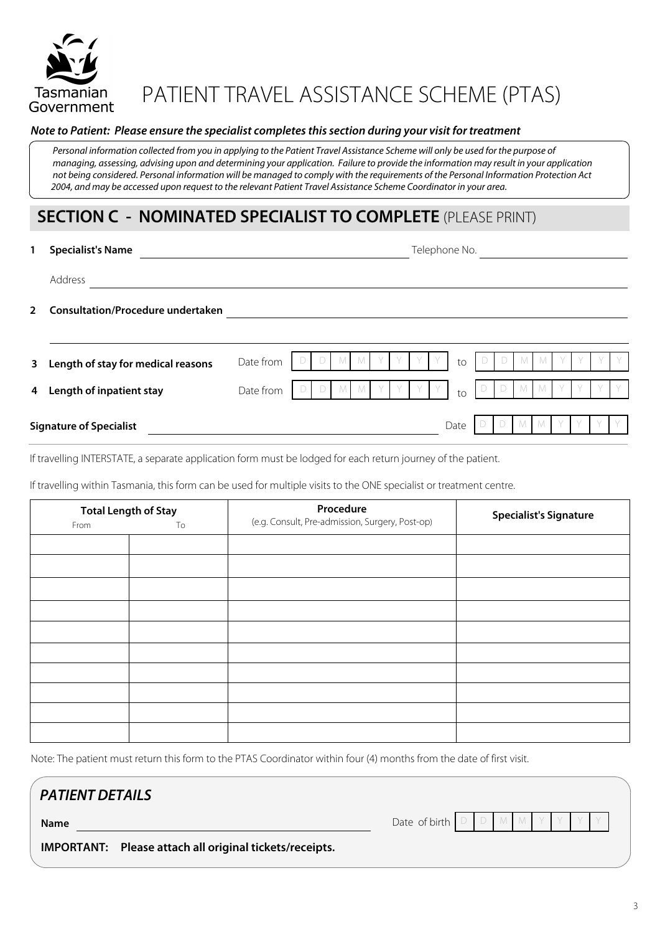

# PATIENT TRAVEL ASSISTANCE SCHEME (PTAS)

#### *Note to Patient: Please ensure the specialist completes this section during your visit for treatment*

Personal information collected from you in applying to the Patient Travel Assistance Scheme will only be used for the purpose of  *managing, assessing, advising upon and determining your application. Failure to provide the information may result in your application not being considered. Personal information will be managed to comply with the requirements of the Personal Information Protection Act 2004, and may be accessed upon request to the relevant Patient Travel Assistance Scheme Coordinator in your area.*

### **SECTION C - NOMINATED SPECIALIST TO COMPLETE** (PLEASE PRINT)

| 1              | <b>Specialist's Name</b>                 |           |  |  |  |  | Telephone No. |  |      |  |  |  |  |  |  |  |  |
|----------------|------------------------------------------|-----------|--|--|--|--|---------------|--|------|--|--|--|--|--|--|--|--|
|                | Address                                  |           |  |  |  |  |               |  |      |  |  |  |  |  |  |  |  |
| $\overline{2}$ | <b>Consultation/Procedure undertaken</b> |           |  |  |  |  |               |  |      |  |  |  |  |  |  |  |  |
|                |                                          |           |  |  |  |  |               |  |      |  |  |  |  |  |  |  |  |
| 3 <sup>7</sup> | Length of stay for medical reasons       | Date from |  |  |  |  |               |  | to   |  |  |  |  |  |  |  |  |
| 4              | Length of inpatient stay                 | Date from |  |  |  |  |               |  | to   |  |  |  |  |  |  |  |  |
|                | <b>Signature of Specialist</b>           |           |  |  |  |  |               |  | Date |  |  |  |  |  |  |  |  |

If travelling INTERSTATE, a separate application form must be lodged for each return journey of the patient.

If travelling within Tasmania, this form can be used for multiple visits to the ONE specialist or treatment centre.

| From | <b>Total Length of Stay</b><br>To | Procedure<br>(e.g. Consult, Pre-admission, Surgery, Post-op) | <b>Specialist's Signature</b> |
|------|-----------------------------------|--------------------------------------------------------------|-------------------------------|
|      |                                   |                                                              |                               |
|      |                                   |                                                              |                               |
|      |                                   |                                                              |                               |
|      |                                   |                                                              |                               |
|      |                                   |                                                              |                               |
|      |                                   |                                                              |                               |
|      |                                   |                                                              |                               |
|      |                                   |                                                              |                               |
|      |                                   |                                                              |                               |
|      |                                   |                                                              |                               |

Note: The patient must return this form to the PTAS Coordinator within four (4) months from the date of first visit.

### *PATIENT DETAILS*

Date of birth

**Name**

**IMPORTANT: Please attach all original tickets/receipts.**